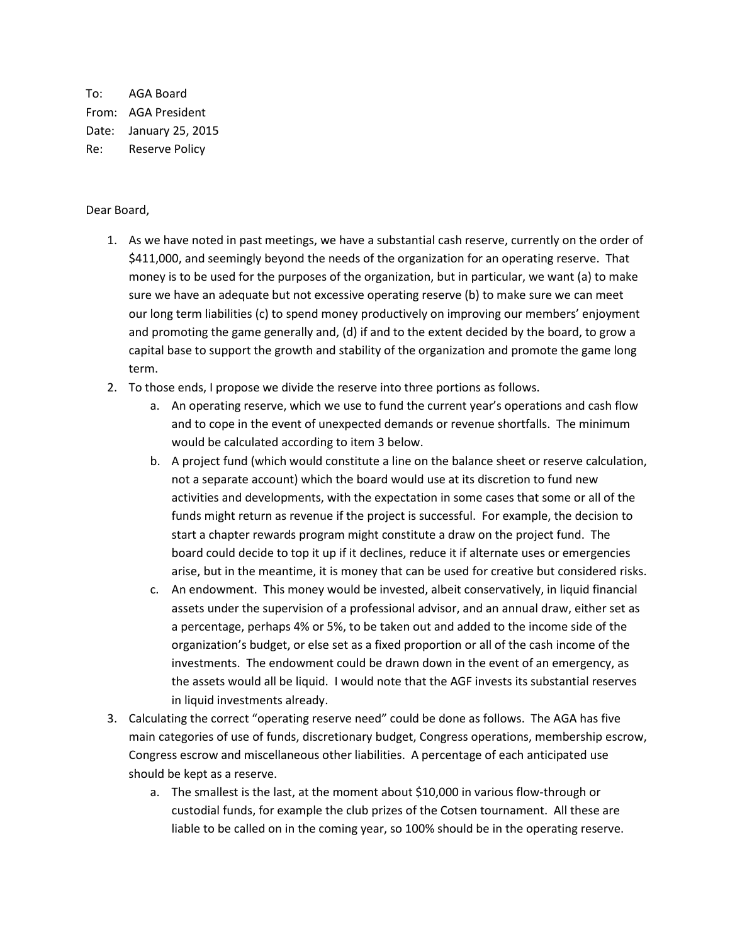To: AGA Board From: AGA President Date: January 25, 2015 Re: Reserve Policy

## Dear Board,

- 1. As we have noted in past meetings, we have a substantial cash reserve, currently on the order of \$411,000, and seemingly beyond the needs of the organization for an operating reserve. That money is to be used for the purposes of the organization, but in particular, we want (a) to make sure we have an adequate but not excessive operating reserve (b) to make sure we can meet our long term liabilities (c) to spend money productively on improving our members' enjoyment and promoting the game generally and, (d) if and to the extent decided by the board, to grow a capital base to support the growth and stability of the organization and promote the game long term.
- 2. To those ends, I propose we divide the reserve into three portions as follows.
	- a. An operating reserve, which we use to fund the current year's operations and cash flow and to cope in the event of unexpected demands or revenue shortfalls. The minimum would be calculated according to item 3 below.
	- b. A project fund (which would constitute a line on the balance sheet or reserve calculation, not a separate account) which the board would use at its discretion to fund new activities and developments, with the expectation in some cases that some or all of the funds might return as revenue if the project is successful. For example, the decision to start a chapter rewards program might constitute a draw on the project fund. The board could decide to top it up if it declines, reduce it if alternate uses or emergencies arise, but in the meantime, it is money that can be used for creative but considered risks.
	- c. An endowment. This money would be invested, albeit conservatively, in liquid financial assets under the supervision of a professional advisor, and an annual draw, either set as a percentage, perhaps 4% or 5%, to be taken out and added to the income side of the organization's budget, or else set as a fixed proportion or all of the cash income of the investments. The endowment could be drawn down in the event of an emergency, as the assets would all be liquid. I would note that the AGF invests its substantial reserves in liquid investments already.
- 3. Calculating the correct "operating reserve need" could be done as follows. The AGA has five main categories of use of funds, discretionary budget, Congress operations, membership escrow, Congress escrow and miscellaneous other liabilities. A percentage of each anticipated use should be kept as a reserve.
	- a. The smallest is the last, at the moment about \$10,000 in various flow-through or custodial funds, for example the club prizes of the Cotsen tournament. All these are liable to be called on in the coming year, so 100% should be in the operating reserve.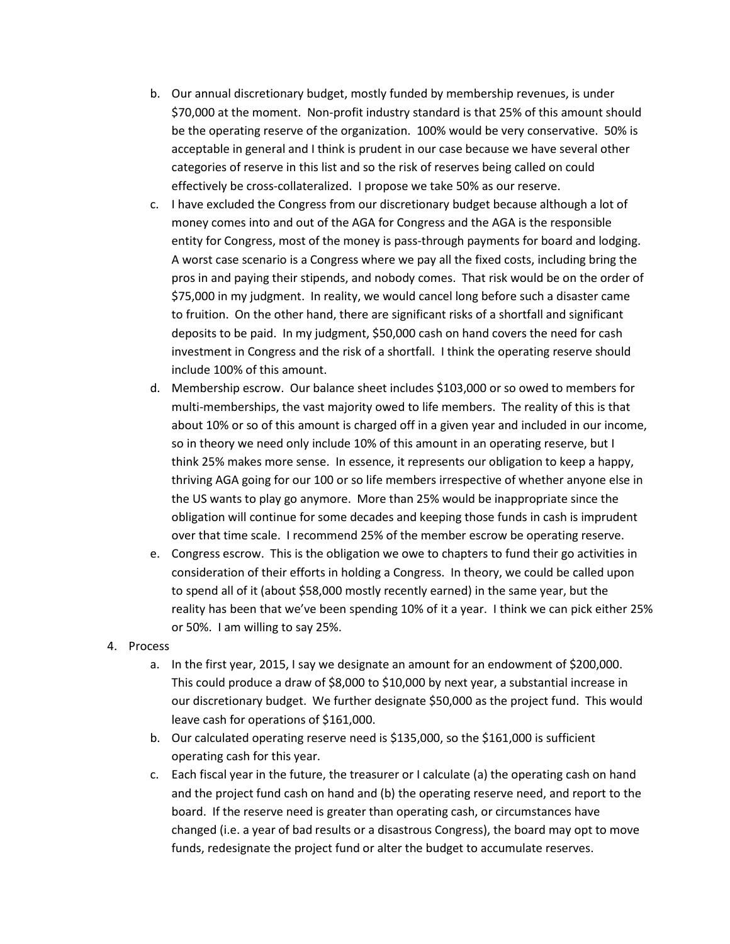- b. Our annual discretionary budget, mostly funded by membership revenues, is under \$70,000 at the moment. Non-profit industry standard is that 25% of this amount should be the operating reserve of the organization. 100% would be very conservative. 50% is acceptable in general and I think is prudent in our case because we have several other categories of reserve in this list and so the risk of reserves being called on could effectively be cross-collateralized. I propose we take 50% as our reserve.
- c. I have excluded the Congress from our discretionary budget because although a lot of money comes into and out of the AGA for Congress and the AGA is the responsible entity for Congress, most of the money is pass-through payments for board and lodging. A worst case scenario is a Congress where we pay all the fixed costs, including bring the pros in and paying their stipends, and nobody comes. That risk would be on the order of \$75,000 in my judgment. In reality, we would cancel long before such a disaster came to fruition. On the other hand, there are significant risks of a shortfall and significant deposits to be paid. In my judgment, \$50,000 cash on hand covers the need for cash investment in Congress and the risk of a shortfall. I think the operating reserve should include 100% of this amount.
- d. Membership escrow. Our balance sheet includes \$103,000 or so owed to members for multi-memberships, the vast majority owed to life members. The reality of this is that about 10% or so of this amount is charged off in a given year and included in our income, so in theory we need only include 10% of this amount in an operating reserve, but I think 25% makes more sense. In essence, it represents our obligation to keep a happy, thriving AGA going for our 100 or so life members irrespective of whether anyone else in the US wants to play go anymore. More than 25% would be inappropriate since the obligation will continue for some decades and keeping those funds in cash is imprudent over that time scale. I recommend 25% of the member escrow be operating reserve.
- e. Congress escrow. This is the obligation we owe to chapters to fund their go activities in consideration of their efforts in holding a Congress. In theory, we could be called upon to spend all of it (about \$58,000 mostly recently earned) in the same year, but the reality has been that we've been spending 10% of it a year. I think we can pick either 25% or 50%. I am willing to say 25%.
- 4. Process
	- a. In the first year, 2015, I say we designate an amount for an endowment of \$200,000. This could produce a draw of \$8,000 to \$10,000 by next year, a substantial increase in our discretionary budget. We further designate \$50,000 as the project fund. This would leave cash for operations of \$161,000.
	- b. Our calculated operating reserve need is \$135,000, so the \$161,000 is sufficient operating cash for this year.
	- c. Each fiscal year in the future, the treasurer or I calculate (a) the operating cash on hand and the project fund cash on hand and (b) the operating reserve need, and report to the board. If the reserve need is greater than operating cash, or circumstances have changed (i.e. a year of bad results or a disastrous Congress), the board may opt to move funds, redesignate the project fund or alter the budget to accumulate reserves.